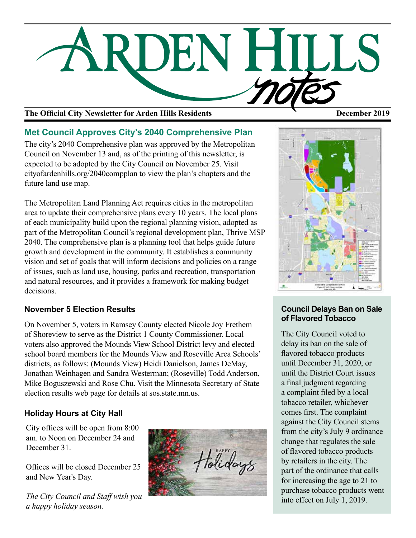

# The Official City Newsletter for Arden Hills Residents **December 2019** December 2019

# **Met Council Approves City's 2040 Comprehensive Plan**

The city's 2040 Comprehensive plan was approved by the Metropolitan Council on November 13 and, as of the printing of this newsletter, is expected to be adopted by the City Council on November 25. Visit cityofardenhills.org/2040compplan to view the plan's chapters and the future land use map.

The Metropolitan Land Planning Act requires cities in the metropolitan area to update their comprehensive plans every 10 years. The local plans of each municipality build upon the regional planning vision, adopted as part of the Metropolitan Council's regional development plan, Thrive MSP 2040. The comprehensive plan is a planning tool that helps guide future growth and development in the community. It establishes a community vision and set of goals that will inform decisions and policies on a range of issues, such as land use, housing, parks and recreation, transportation and natural resources, and it provides a framework for making budget decisions.

# **November 5 Election Results**

On November 5, voters in Ramsey County elected Nicole Joy Frethem of Shoreview to serve as the District 1 County Commissioner. Local voters also approved the Mounds View School District levy and elected school board members for the Mounds View and Roseville Area Schools' districts, as follows: (Mounds View) Heidi Danielson, James DeMay, Jonathan Weinhagen and Sandra Westerman; (Roseville) Todd Anderson, Mike Boguszewski and Rose Chu. Visit the Minnesota Secretary of State election results web page for details at sos.state.mn.us.

# **Holiday Hours at City Hall**

City offices will be open from 8:00 am. to Noon on December 24 and December 31.

Offices will be closed December 25 and New Year's Day.

*The City Council and Staff wish you a happy holiday season.* 





# **Council Delays Ban on Sale of Flavored Tobacco**

The City Council voted to delay its ban on the sale of flavored tobacco products until December 31, 2020, or until the District Court issues a final judgment regarding a complaint filed by a local tobacco retailer, whichever comes first. The complaint against the City Council stems from the city's July 9 ordinance change that regulates the sale of flavored tobacco products by retailers in the city. The part of the ordinance that calls for increasing the age to 21 to purchase tobacco products went into effect on July 1, 2019.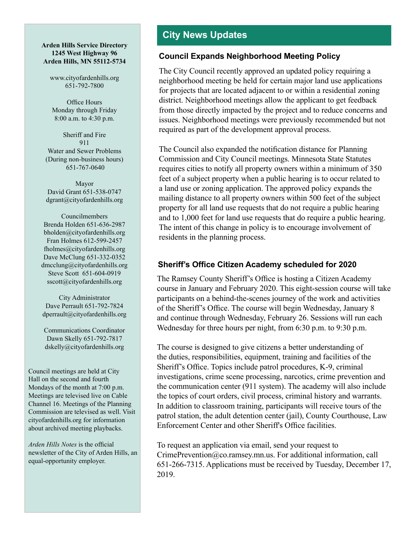#### **Arden Hills Service Directory 1245 West Highway 96 Arden Hills, MN 55112-5734**

www.cityofardenhills.org 651-792-7800

Office Hours Monday through Friday 8:00 a.m. to 4:30 p.m.

Sheriff and Fire 911 Water and Sewer Problems (During non-business hours) 651-767-0640

Mayor David Grant 651-538-0747 dgrant@cityofardenhills.org

Councilmembers Brenda Holden 651-636-2987 bholden@cityofardenhills.org Fran Holmes 612-599-2457 fholmes@cityofardenhills.org Dave McClung 651-332-0352 dmcclung@cityofardenhills.org Steve Scott 651-604-0919 sscott@cityofardenhills.org

City Administrator Dave Perrault 651-792-7824 dperrault@cityofardenhills.org

Communications Coordinator Dawn Skelly 651-792-7817 dskelly@cityofardenhills.org

Council meetings are held at City Hall on the second and fourth Mondays of the month at 7:00 p.m. Meetings are televised live on Cable Channel 16. Meetings of the Planning Commission are televised as well. Visit cityofardenhills.org for information about archived meeting playbacks.

*Arden Hills Notes* is the official newsletter of the City of Arden Hills, an equal-opportunity employer.

# **City News Updates**

### **Council Expands Neighborhood Meeting Policy**

The City Council recently approved an updated policy requiring a neighborhood meeting be held for certain major land use applications for projects that are located adjacent to or within a residential zoning district. Neighborhood meetings allow the applicant to get feedback from those directly impacted by the project and to reduce concerns and issues. Neighborhood meetings were previously recommended but not required as part of the development approval process.

The Council also expanded the notification distance for Planning Commission and City Council meetings. Minnesota State Statutes requires cities to notify all property owners within a minimum of 350 feet of a subject property when a public hearing is to occur related to a land use or zoning application. The approved policy expands the mailing distance to all property owners within 500 feet of the subject property for all land use requests that do not require a public hearing and to 1,000 feet for land use requests that do require a public hearing. The intent of this change in policy is to encourage involvement of residents in the planning process.

# **Sheriff's Office Citizen Academy scheduled for 2020**

The Ramsey County Sheriff's Office is hosting a Citizen Academy course in January and February 2020. This eight-session course will take participants on a behind-the-scenes journey of the work and activities of the Sheriff's Office. The course will begin Wednesday, January 8 and continue through Wednesday, February 26. Sessions will run each Wednesday for three hours per night, from 6:30 p.m. to 9:30 p.m.

The course is designed to give citizens a better understanding of the duties, responsibilities, equipment, training and facilities of the Sheriff's Office. Topics include patrol procedures, K-9, criminal investigations, crime scene processing, narcotics, crime prevention and the communication center (911 system). The academy will also include the topics of court orders, civil process, criminal history and warrants. In addition to classroom training, participants will receive tours of the patrol station, the adult detention center (jail), County Courthouse, Law Enforcement Center and other Sheriff's Office facilities.

To request an application via email, send your request to CrimePrevention@co.ramsey.mn.us. For additional information, call 651-266-7315. Applications must be received by Tuesday, December 17, 2019.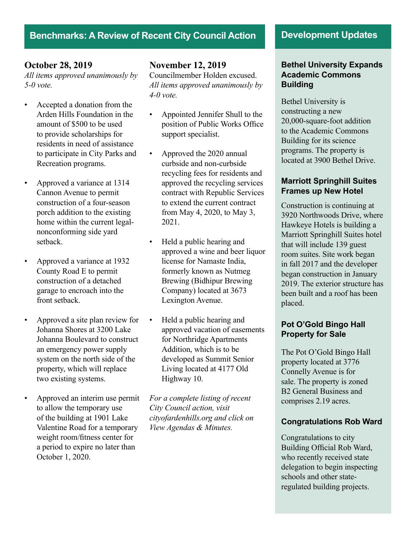# **Benchmarks: A Review of Recent City Council Action Development Updates**

#### **October 28, 2019**

*All items approved unanimously by 5-0 vote.*

- Accepted a donation from the Arden Hills Foundation in the amount of \$500 to be used to provide scholarships for residents in need of assistance to participate in City Parks and Recreation programs.
- Approved a variance at 1314 Cannon Avenue to permit construction of a four-season porch addition to the existing home within the current legalnonconforming side yard setback.
- Approved a variance at 1932 County Road E to permit construction of a detached garage to encroach into the front setback.
- Approved a site plan review for Johanna Shores at 3200 Lake Johanna Boulevard to construct an emergency power supply system on the north side of the property, which will replace two existing systems.
- Approved an interim use permit to allow the temporary use of the building at 1901 Lake Valentine Road for a temporary weight room/fitness center for a period to expire no later than October 1, 2020.

# **November 12, 2019**

Councilmember Holden excused. *All items approved unanimously by 4-0 vote.* 

- Appointed Jennifer Shull to the position of Public Works Office support specialist.
- Approved the 2020 annual curbside and non-curbside recycling fees for residents and approved the recycling services contract with Republic Services to extend the current contract from May 4, 2020, to May 3, 2021.
- Held a public hearing and approved a wine and beer liquor license for Namaste India, formerly known as Nutmeg Brewing (Bidhipur Brewing Company) located at 3673 Lexington Avenue.
- Held a public hearing and approved vacation of easements for Northridge Apartments Addition, which is to be developed as Summit Senior Living located at 4177 Old Highway 10.

*For a complete listing of recent City Council action, visit cityofardenhills.org and click on View Agendas & Minutes.* 

#### **Bethel University Expands Academic Commons Building**

Bethel University is constructing a new 20,000-square-foot addition to the Academic Commons Building for its science programs. The property is located at 3900 Bethel Drive.

### **Marriott Springhill Suites Frames up New Hotel**

Construction is continuing at 3920 Northwoods Drive, where Hawkeye Hotels is building a Marriott Springhill Suites hotel that will include 139 guest room suites. Site work began in fall 2017 and the developer began construction in January 2019. The exterior structure has been built and a roof has been placed.

### **Pot O'Gold Bingo Hall Property for Sale**

The Pot O'Gold Bingo Hall property located at 3776 Connelly Avenue is for sale. The property is zoned B2 General Business and comprises 2.19 acres.

### **Congratulations Rob Ward**

Congratulations to city Building Official Rob Ward, who recently received state delegation to begin inspecting schools and other stateregulated building projects.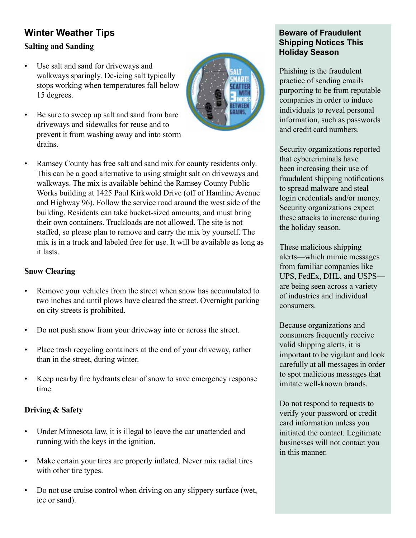# **Winter Weather Tips Salting and Sanding**

- Use salt and sand for driveways and walkways sparingly. De-icing salt typically stops working when temperatures fall below 15 degrees.
- Be sure to sweep up salt and sand from bare driveways and sidewalks for reuse and to prevent it from washing away and into storm drains.



• Ramsey County has free salt and sand mix for county residents only. This can be a good alternative to using straight salt on driveways and walkways. The mix is available behind the Ramsey County Public Works building at 1425 Paul Kirkwold Drive (off of Hamline Avenue and Highway 96). Follow the service road around the west side of the building. Residents can take bucket-sized amounts, and must bring their own containers. Truckloads are not allowed. The site is not staffed, so please plan to remove and carry the mix by yourself. The mix is in a truck and labeled free for use. It will be available as long as it lasts.

### **Snow Clearing**

- Remove your vehicles from the street when snow has accumulated to two inches and until plows have cleared the street. Overnight parking on city streets is prohibited.
- Do not push snow from your driveway into or across the street.
- Place trash recycling containers at the end of your driveway, rather than in the street, during winter.
- Keep nearby fire hydrants clear of snow to save emergency response time.

# **Driving & Safety**

- Under Minnesota law, it is illegal to leave the car unattended and running with the keys in the ignition.
- Make certain your tires are properly inflated. Never mix radial tires with other tire types.
- Do not use cruise control when driving on any slippery surface (wet, ice or sand).

# **Beware of Fraudulent Shipping Notices This Holiday Season**

Phishing is the fraudulent practice of sending emails purporting to be from reputable companies in order to induce individuals to reveal personal information, such as passwords and credit card numbers.

Security organizations reported that cybercriminals have been increasing their use of fraudulent shipping notifications to spread malware and steal login credentials and/or money. Security organizations expect these attacks to increase during the holiday season.

These malicious shipping alerts—which mimic messages from familiar companies like UPS, FedEx, DHL, and USPS are being seen across a variety of industries and individual consumers.

Because organizations and consumers frequently receive valid shipping alerts, it is important to be vigilant and look carefully at all messages in order to spot malicious messages that imitate well-known brands.

Do not respond to requests to verify your password or credit card information unless you initiated the contact. Legitimate businesses will not contact you in this manner.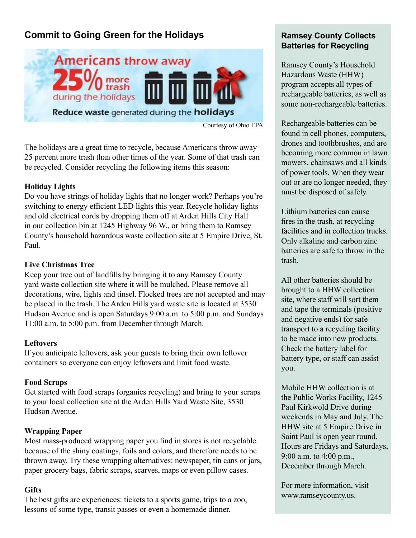# **Commit to Going Green for the Holidays**



Courtesy of Ohio EPA

The holidays are a great time to recycle, because Americans throw away 25 percent more trash than other times of the year. Some of that trash can be recycled. Consider recycling the following items this season:

### **Holiday Lights**

Do you have strings of holiday lights that no longer work? Perhaps you're switching to energy efficient LED lights this year. Recycle holiday lights and old electrical cords by dropping them off at Arden Hills City Hall in our collection bin at 1245 Highway 96 W., or bring them to Ramsey County's household hazardous waste collection site at 5 Empire Drive, St. Paul.

### **Live Christmas Tree**

Keep your tree out of landfills by bringing it to any Ramsey County yard waste collection site where it will be mulched. Please remove all decorations, wire, lights and tinsel. Flocked trees are not accepted and may be placed in the trash. The Arden Hills yard waste site is located at 3530 Hudson Avenue and is open Saturdays 9:00 a.m. to 5:00 p.m. and Sundays 11:00 a.m. to 5:00 p.m. from December through March.

### **Leftovers**

If you anticipate leftovers, ask your guests to bring their own leftover containers so everyone can enjoy leftovers and limit food waste.

### **Food Scraps**

Get started with food scraps (organics recycling) and bring to your scraps to your local collection site at the Arden Hills Yard Waste Site, 3530 Hudson Avenue.

# **Wrapping Paper**

Most mass-produced wrapping paper you find in stores is not recyclable because of the shiny coatings, foils and colors, and therefore needs to be thrown away. Try these wrapping alternatives: newspaper, tin cans or jars, paper grocery bags, fabric scraps, scarves, maps or even pillow cases.

### **Gifts**

The best gifts are experiences: tickets to a sports game, trips to a zoo, lessons of some type, transit passes or even a homemade dinner.

### **Ramsey County Collects Batteries for Recycling**

Ramsey County's Household Hazardous Waste (HHW) program accepts all types of rechargeable batteries, as well as some non-rechargeable batteries.

Rechargeable batteries can be found in cell phones, computers, drones and toothbrushes, and are becoming more common in lawn mowers, chainsaws and all kinds of power tools. When they wear out or are no longer needed, they must be disposed of safely.

Lithium batteries can cause fires in the trash, at recycling facilities and in collection trucks. Only alkaline and carbon zinc batteries are safe to throw in the trash.

All other batteries should be brought to a HHW collection site, where staff will sort them and tape the terminals (positive and negative ends) for safe transport to a recycling facility to be made into new products. Check the battery label for battery type, or staff can assist you.

Mobile HHW collection is at the Public Works Facility, 1245 Paul Kirkwold Drive during weekends in May and July. The HHW site at 5 Empire Drive in Saint Paul is open year round. Hours are Fridays and Saturdays, 9:00 a.m. to 4:00 p.m., December through March.

For more information, visit www.ramseycounty.us.